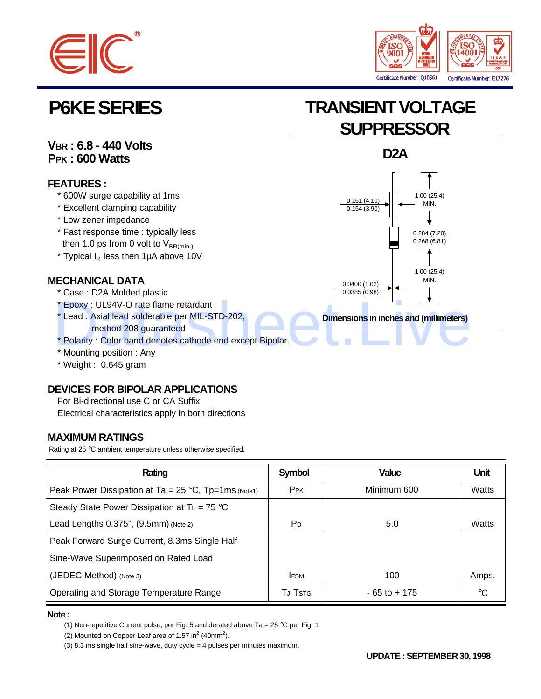



**VBR : 6.8 - 440 Volts PPK : 600 Watts**

## **FEATURES :**

- \* 600W surge capability at 1ms
- \* Excellent clamping capability
- \* Low zener impedance
- \* Fast response time : typically less then 1.0 ps from 0 volt to  $V_{BR(min)}$
- $*$  Typical  $I_R$  less then 1 $\mu$ A above 10V

## **MECHANICAL DATA**

- \* Case : D2A Molded plastic
- \* Epoxy : UL94V-O rate flame retardant
- \* Lead : Axial lead solderable per MIL-STD-202, method 208 guaranteed
- \* Polarity : Color band denotes cathode end except Bipolar.
- \* Mounting position : Any
- \* Weight : 0.645 gram

## **DEVICES FOR BIPOLAR APPLICATIONS**

 For Bi-directional use C or CA Suffix Electrical characteristics apply in both directions

## **MAXIMUM RATINGS**

Rating at 25 °C ambient temperature unless otherwise specified.

| Rating                                                        | <b>Symbol</b>          | <b>Value</b>    | <b>Unit</b> |
|---------------------------------------------------------------|------------------------|-----------------|-------------|
| Peak Power Dissipation at Ta = $25^{\circ}$ C, Tp=1ms (Note1) | <b>P</b> <sub>PK</sub> | Minimum 600     | Watts       |
| Steady State Power Dissipation at $TL = 75$ °C                |                        |                 |             |
| Lead Lengths 0.375", (9.5mm) (Note 2)                         | P <sub>D</sub>         | 5.0             | Watts       |
| Peak Forward Surge Current, 8.3ms Single Half                 |                        |                 |             |
| Sine-Wave Superimposed on Rated Load                          |                        |                 |             |
| (JEDEC Method) (Note 3)                                       | <b>IFSM</b>            | 100             | Amps.       |
| Operating and Storage Temperature Range                       | TJ, TSTG               | $-65$ to $+175$ | °C          |

### **Note :**

(1) Non-repetitive Current pulse, per Fig. 5 and derated above Ta =  $25 °C$  per Fig. 1

(2) Mounted on Copper Leaf area of 1.57 in<sup>2</sup> (40mm<sup>2</sup>).

(3) 8.3 ms single half sine-wave, duty cycle = 4 pulses per minutes maximum.

# **P6KE SERIES TRANSIENT VOLTAGE SUPPRESSOR**

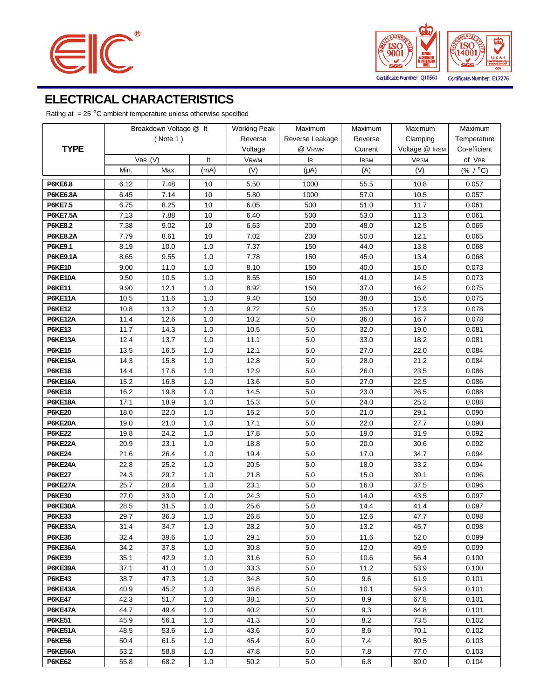



## **ELECTRICAL CHARACTERISTICS**

Rating at  $= 25 \degree C$  ambient temperature unless otherwise specified

| <b>TYPE</b>              | Breakdown Voltage @ It |      | <b>Working Peak</b> | Maximum      | Maximum         | Maximum     | Maximum        |              |
|--------------------------|------------------------|------|---------------------|--------------|-----------------|-------------|----------------|--------------|
|                          | ( Note 1)              |      |                     | Reverse      | Reverse Leakage | Reverse     | Clamping       | Temperature  |
|                          |                        |      |                     | Voltage      | @ VRWM          | Current     | Voltage @ IRSM | Co-efficient |
|                          | VBR (V)                |      | It                  | <b>VRWM</b>  | lR.             | <b>IRSM</b> | <b>VRSM</b>    | of VBR       |
|                          | Min.                   | Max. | (mA)                | (V)          | $(\mu A)$       | (A)         | (V)            | (% / °C)     |
| <b>P6KE6.8</b>           | 6.12                   | 7.48 | 10                  | 5.50         | 1000            | 55.5        | 10.8           | 0.057        |
| <b>P6KE6.8A</b>          | 6.45                   | 7.14 | 10                  | 5.80         | 1000            | 57.0        | 10.5           | 0.057        |
| <b>P6KE7.5</b>           | 6.75                   | 8.25 | 10                  | 6.05         | 500             | 51.0        | 11.7           | 0.061        |
| <b>P6KE7.5A</b>          | 7.13                   | 7.88 | 10                  | 6.40         | 500             | 53.0        | 11.3           | 0.061        |
| <b>P6KE8.2</b>           | 7.38                   | 9.02 | 10                  | 6.63         | 200             | 48.0        | 12.5           | 0.065        |
| <b>P6KE8.2A</b>          | 7.79                   | 8.61 | 10                  | 7.02         | 200             | 50.0        | 12.1           | 0.065        |
| <b>P6KE9.1</b>           | 8.19                   | 10.0 | 1.0                 | 7.37         | 150             | 44.0        | 13.8           | 0.068        |
| <b>P6KE9.1A</b>          | 8.65                   | 9.55 | 1.0                 | 7.78         | 150             | 45.0        | 13.4           | 0.068        |
| <b>P6KE10</b>            | 9.00                   | 11.0 | 1.0                 | 8.10         | 150             | 40.0        | 15.0           | 0.073        |
| <b>P6KE10A</b>           | 9.50                   | 10.5 | 1.0                 | 8.55         | 150             | 41.0        | 14.5           | 0.073        |
| <b>P6KE11</b>            | 9.90                   | 12.1 | 1.0                 | 8.92         | 150             | 37.0        | 16.2           | 0.075        |
| <b>P6KE11A</b>           | 10.5                   | 11.6 | 1.0                 | 9.40         | 150             | 38.0        | 15.6           | 0.075        |
| <b>P6KE12</b>            | 10.8                   | 13.2 | 1.0                 | 9.72         | 5.0             | 35.0        | 17.3           | 0.078        |
| <b>P6KE12A</b>           | 11.4                   | 12.6 | 1.0                 | 10.2         | $5.0\,$         | 36.0        | 16.7           | 0.078        |
| <b>P6KE13</b>            | 11.7                   | 14.3 | 1.0                 | 10.5         | $5.0\,$         | 32.0        | 19.0           | 0.081        |
| P6KE13A                  | 12.4                   | 13.7 | 1.0                 | 11.1         | $5.0\,$         | 33.0        | 18.2           | 0.081        |
| <b>P6KE15</b>            | 13.5                   | 16.5 | 1.0                 | 12.1         | $5.0\,$         | 27.0        | 22.0           | 0.084        |
| <b>P6KE15A</b>           | 14.3                   | 15.8 | 1.0                 | 12.8         | 5.0             | 28.0        | 21.2           | 0.084        |
| <b>P6KE16</b>            | 14.4                   | 17.6 | 1.0                 | 12.9         | $5.0\,$         | 26.0        | 23.5           | 0.086        |
| P6KE16A                  | 15.2                   | 16.8 | 1.0                 | 13.6         | $5.0\,$         | 27.0        | 22.5           | 0.086        |
| <b>P6KE18</b>            | 16.2                   | 19.8 | 1.0                 | 14.5         | 5.0             | 23.0        | 26.5           | 0.088        |
| <b>P6KE18A</b>           | 17.1                   | 18.9 | 1.0                 | 15.3         | 5.0             | 24.0        | 25.2           | 0.088        |
| <b>P6KE20</b>            | 18.0                   | 22.0 | 1.0                 | 16.2         | 5.0             | 21.0        | 29.1           | 0.090        |
| <b>P6KE20A</b>           | 19.0                   | 21.0 | 1.0                 | 17.1         | 5.0             | 22.0        | 27.7           | 0.090        |
| <b>P6KE22</b>            | 19.8                   | 24.2 | 1.0                 | 17.8         | 5.0             | 19.0        | 31.9           | 0.092        |
| P6KE22A                  | 20.9                   | 23.1 | 1.0                 | 18.8         | 5.0             | 20.0        | 30.6           | 0.092        |
| <b>P6KE24</b>            | 21.6                   | 26.4 | 1.0                 | 19.4         | 5.0             | 17.0        | 34.7           | 0.094        |
| P6KE24A                  | 22.8                   | 25.2 | 1.0                 | 20.5         | 5.0             | 18.0        | 33.2           | 0.094        |
| <b>P6KE27</b>            | 24.3                   | 29.7 | 1.0                 | 21.8         | 5.0             | 15.0        | 39.1           | 0.096        |
| P6KE27A                  | 25.7                   | 28.4 | 1.0                 | 23.1         | 5.0             | 16.0        | 37.5           | 0.096        |
| <b>P6KE30</b>            | 27.0                   | 33.0 | 1.0                 | 24.3         | 5.0             | 14.0        | 43.5           | 0.097        |
| P6KE30A                  | 28.5                   | 31.5 | 1.0                 | 25.6         | 5.0             | 14.4        | 41.4           | 0.097        |
| <b>P6KE33</b>            | 29.7                   | 36.3 | $1.0\,$             | 26.8         | $5.0\,$         | 12.6        | 47.7           | 0.098        |
| P6KE33A                  | 31.4                   | 34.7 | 1.0                 | 28.2         | 5.0             | 13.2        | 45.7           | 0.098        |
| <b>P6KE36</b>            | 32.4                   | 39.6 | 1.0                 | 29.1         | 5.0             | 11.6        | 52.0           | 0.099        |
| P6KE36A                  | 34.2                   | 37.8 | 1.0                 | 30.8         | $5.0\,$         | 12.0        | 49.9           | 0.099        |
| <b>P6KE39</b>            | 35.1                   | 42.9 | 1.0                 | 31.6         | 5.0             | 10.6        | 56.4           | 0.100        |
| P6KE39A                  | 37.1                   | 41.0 | 1.0                 | 33.3         | 5.0             | 11.2        | 53.9           | 0.100        |
| <b>P6KE43</b>            | 38.7                   | 47.3 | 1.0                 | 34.8         | 5.0             | 9.6         | 61.9           | 0.101        |
| P6KE43A<br><b>P6KE47</b> | 40.9                   | 45.2 | 1.0                 | 36.8         | 5.0             | 10.1        | 59.3           | 0.101        |
| P6KE47A                  | 42.3<br>44.7           | 51.7 | 1.0<br>1.0          | 38.1<br>40.2 | 5.0<br>5.0      | 8.9<br>9.3  | 67.8<br>64.8   | 0.101        |
|                          |                        | 49.4 |                     |              |                 |             |                | 0.101        |
| <b>P6KE51</b><br>P6KE51A | 45.9                   | 56.1 | 1.0                 | 41.3         | $5.0\,$<br>5.0  | 8.2         | 73.5<br>70.1   | 0.102        |
| <b>P6KE56</b>            | 48.5<br>50.4           | 53.6 | 1.0                 | 43.6<br>45.4 | 5.0             | 8.6<br>7.4  | 80.5           | 0.102        |
| P6KE56A                  | 53.2                   | 61.6 | 1.0                 | 47.8         | 5.0             |             | 77.0           | 0.103        |
|                          |                        | 58.8 | 1.0                 |              |                 | 7.8         |                | 0.103        |
| <b>P6KE62</b>            | 55.8                   | 68.2 | 1.0                 | 50.2         | 5.0             | 6.8         | 89.0           | 0.104        |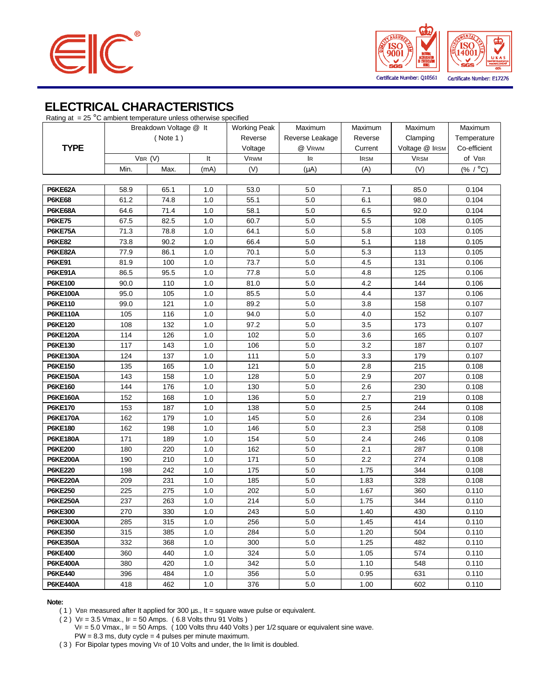



## **ELECTRICAL CHARACTERISTICS**

| Rating at $= 25 \degree C$ ambient temperature unless otherwise specified |           |                        |         |                     |                 |             |                |              |
|---------------------------------------------------------------------------|-----------|------------------------|---------|---------------------|-----------------|-------------|----------------|--------------|
|                                                                           |           | Breakdown Voltage @ It |         | <b>Working Peak</b> | Maximum         | Maximum     | Maximum        | Maximum      |
|                                                                           | ( Note 1) |                        |         | Reverse             | Reverse Leakage | Reverse     | Clamping       | Temperature  |
| <b>TYPE</b>                                                               |           |                        |         | Voltage             | @ Vrwm          | Current     | Voltage @ IRSM | Co-efficient |
|                                                                           |           | VBR (V)                | It      | <b>VRWM</b>         | lR.             | <b>IRSM</b> | <b>VRSM</b>    | of VBR       |
|                                                                           | Min.      | Max.                   | (mA)    | (V)                 | $(\mu A)$       | (A)         | (V)            | (% / °C)     |
|                                                                           |           |                        |         |                     |                 |             |                |              |
| P6KE62A                                                                   | 58.9      | 65.1                   | 1.0     | 53.0                | 5.0             | 7.1         | 85.0           | 0.104        |
| <b>P6KE68</b>                                                             | 61.2      | 74.8                   | 1.0     | 55.1                | $5.0\,$         | 6.1         | 98.0           | 0.104        |
| P6KE68A                                                                   | 64.6      | 71.4                   | 1.0     | 58.1                | $5.0\,$         | 6.5         | 92.0           | 0.104        |
| <b>P6KE75</b>                                                             | 67.5      | 82.5                   | 1.0     | 60.7                | $5.0\,$         | 5.5         | 108            | 0.105        |
| P6KE75A                                                                   | 71.3      | 78.8                   | 1.0     | 64.1                | $5.0\,$         | 5.8         | 103            | 0.105        |
| <b>P6KE82</b>                                                             | 73.8      | 90.2                   | 1.0     | 66.4                | 5.0             | 5.1         | 118            | 0.105        |
| P6KE82A                                                                   | 77.9      | 86.1                   | 1.0     | 70.1                | 5.0             | 5.3         | 113            | 0.105        |
| <b>P6KE91</b>                                                             | 81.9      | 100                    | 1.0     | 73.7                | 5.0             | 4.5         | 131            | 0.106        |
| P6KE91A                                                                   | 86.5      | 95.5                   | 1.0     | 77.8                | 5.0             | 4.8         | 125            | 0.106        |
| <b>P6KE100</b>                                                            | 90.0      | 110                    | 1.0     | 81.0                | 5.0             | 4.2         | 144            | 0.106        |
| <b>P6KE100A</b>                                                           | 95.0      | 105                    | 1.0     | 85.5                | 5.0             | 4.4         | 137            | 0.106        |
| <b>P6KE110</b>                                                            | 99.0      | 121                    | 1.0     | 89.2                | 5.0             | 3.8         | 158            | 0.107        |
| <b>P6KE110A</b>                                                           | 105       | 116                    | 1.0     | 94.0                | 5.0             | 4.0         | 152            | 0.107        |
| <b>P6KE120</b>                                                            | 108       | 132                    | 1.0     | 97.2                | 5.0             | 3.5         | 173            | 0.107        |
| <b>P6KE120A</b>                                                           | 114       | 126                    | 1.0     | 102                 | 5.0             | 3.6         | 165            | 0.107        |
| <b>P6KE130</b>                                                            | 117       | 143                    | 1.0     | 106                 | 5.0             | 3.2         | 187            | 0.107        |
| <b>P6KE130A</b>                                                           | 124       | 137                    | 1.0     | 111                 | $5.0\,$         | 3.3         | 179            | 0.107        |
| P6KE150                                                                   | 135       | 165                    | 1.0     | 121                 | $5.0\,$         | 2.8         | 215            | 0.108        |
| <b>P6KE150A</b>                                                           | 143       | 158                    | 1.0     | 128                 | $5.0\,$         | 2.9         | 207            | 0.108        |
| P6KE160                                                                   | 144       | 176                    | 1.0     | 130                 | 5.0             | 2.6         | 230            | 0.108        |
| <b>P6KE160A</b>                                                           | 152       | 168                    | 1.0     | 136                 | 5.0             | 2.7         | 219            | 0.108        |
| <b>P6KE170</b>                                                            | 153       | 187                    | 1.0     | 138                 | 5.0             | 2.5         | 244            | 0.108        |
| <b>P6KE170A</b>                                                           | 162       | 179                    | 1.0     | 145                 | $5.0\,$         | 2.6         | 234            | 0.108        |
| P6KE180                                                                   | 162       | 198                    | 1.0     | 146                 | 5.0             | 2.3         | 258            | 0.108        |
| <b>P6KE180A</b>                                                           | 171       | 189                    | 1.0     | 154                 | $5.0\,$         | 2.4         | 246            | 0.108        |
| <b>P6KE200</b>                                                            | 180       | 220                    | 1.0     | 162                 | 5.0             | 2.1         | 287            | 0.108        |
| <b>P6KE200A</b>                                                           | 190       | 210                    | 1.0     | 171                 | $5.0\,$         | 2.2         | 274            | 0.108        |
| <b>P6KE220</b>                                                            | 198       | 242                    | 1.0     | 175                 | $5.0\,$         | 1.75        | 344            | 0.108        |
| <b>P6KE220A</b>                                                           | 209       | 231                    | 1.0     | 185                 | $5.0\,$         | 1.83        | 328            | 0.108        |
| <b>P6KE250</b>                                                            | 225       | 275                    | 1.0     | 202                 | $5.0\,$         | 1.67        | 360            | 0.110        |
| <b>P6KE250A</b>                                                           | 237       | 263                    | 1.0     | 214                 | $5.0\,$         | 1.75        | 344            | 0.110        |
| <b>P6KE300</b>                                                            | 270       | 330                    | 1.0     | 243                 | $5.0\,$         | 1.40        | 430            | 0.110        |
| <b>P6KE300A</b>                                                           | 285       | 315                    | 1.0     | 256                 | $5.0\,$         | 1.45        | 414            | 0.110        |
| <b>P6KE350</b>                                                            | 315       | 385                    | 1.0     | 284                 | 5.0             | 1.20        | 504            | 0.110        |
| <b>P6KE350A</b>                                                           | 332       | 368                    | 1.0     | 300                 | $5.0\,$         | 1.25        | 482            | 0.110        |
| <b>P6KE400</b>                                                            | 360       | 440                    | 1.0     | 324                 | $5.0\,$         | 1.05        | 574            | 0.110        |
| <b>P6KE400A</b>                                                           | 380       | 420                    | 1.0     | 342                 | $5.0\,$         | 1.10        | 548            | 0.110        |
| <b>P6KE440</b>                                                            | 396       | 484                    | 1.0     | 356                 | $5.0\,$         | 0.95        | 631            | 0.110        |
| <b>P6KE440A</b>                                                           | 418       | 462                    | $1.0\,$ | 376                 | $5.0\,$         | 1.00        | 602            | 0.110        |

 **Note:**

( 1) VBR measured after It applied for 300  $\mu$ s., It = square wave pulse or equivalent.

 ( 2 ) VF = 3.5 Vmax., IF = 50 Amps. ( 6.8 Volts thru 91 Volts ) VF = 5.0 Vmax., IF = 50 Amps. ( 100 Volts thru 440 Volts ) per 1/2 square or equivalent sine wave. PW = 8.3 ms, duty cycle = 4 pulses per minute maximum.

( 3 ) For Bipolar types moving VR of 10 Volts and under, the IR limit is doubled.